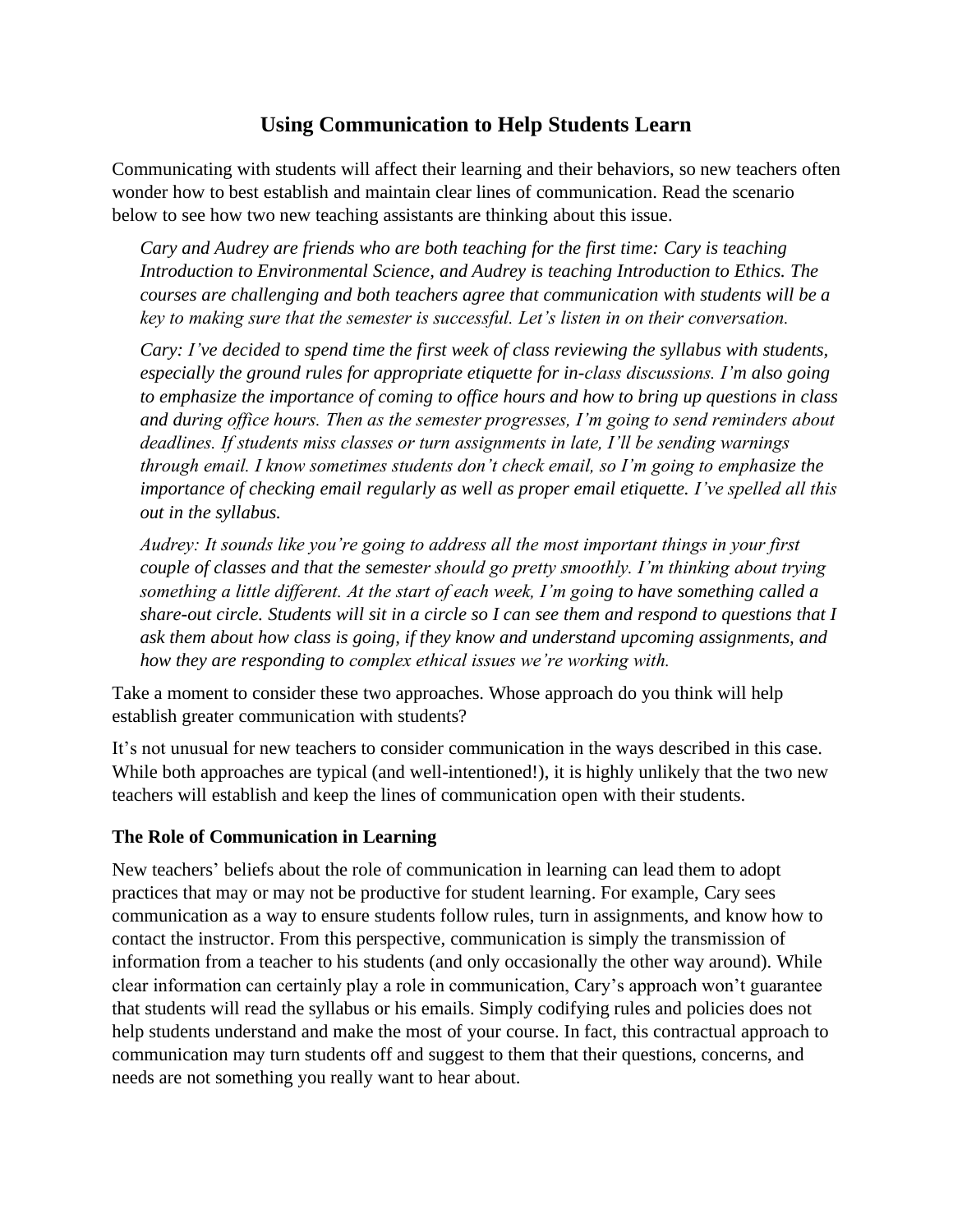# **Using Communication to Help Students Learn**

Communicating with students will affect their learning and their behaviors, so new teachers often wonder how to best establish and maintain clear lines of communication. Read the scenario below to see how two new teaching assistants are thinking about this issue.

*Cary and Audrey are friends who are both teaching for the first time: Cary is teaching Introduction to Environmental Science, and Audrey is teaching Introduction to Ethics. The courses are challenging and both teachers agree that communication with students will be a key to making sure that the semester is successful. Let's listen in on their conversation.*

*Cary: I've decided to spend time the first week of class reviewing the syllabus with students, especially the ground rules for appropriate etiquette for in-class discussions. I'm also going to emphasize the importance of coming to office hours and how to bring up questions in class and during office hours. Then as the semester progresses, I'm going to send reminders about deadlines. If students miss classes or turn assignments in late, I'll be sending warnings through email. I know sometimes students don't check email, so I'm going to emphasize the importance of checking email regularly as well as proper email etiquette. I've spelled all this out in the syllabus.*

*Audrey: It sounds like you're going to address all the most important things in your first couple of classes and that the semester should go pretty smoothly. I'm thinking about trying something a little different. At the start of each week, I'm going to have something called a share-out circle. Students will sit in a circle so I can see them and respond to questions that I ask them about how class is going, if they know and understand upcoming assignments, and how they are responding to complex ethical issues we're working with.* 

Take a moment to consider these two approaches. Whose approach do you think will help establish greater communication with students?

It's not unusual for new teachers to consider communication in the ways described in this case. While both approaches are typical (and well-intentioned!), it is highly unlikely that the two new teachers will establish and keep the lines of communication open with their students.

#### **The Role of Communication in Learning**

New teachers' beliefs about the role of communication in learning can lead them to adopt practices that may or may not be productive for student learning. For example, Cary sees communication as a way to ensure students follow rules, turn in assignments, and know how to contact the instructor. From this perspective, communication is simply the transmission of information from a teacher to his students (and only occasionally the other way around). While clear information can certainly play a role in communication, Cary's approach won't guarantee that students will read the syllabus or his emails. Simply codifying rules and policies does not help students understand and make the most of your course. In fact, this contractual approach to communication may turn students off and suggest to them that their questions, concerns, and needs are not something you really want to hear about.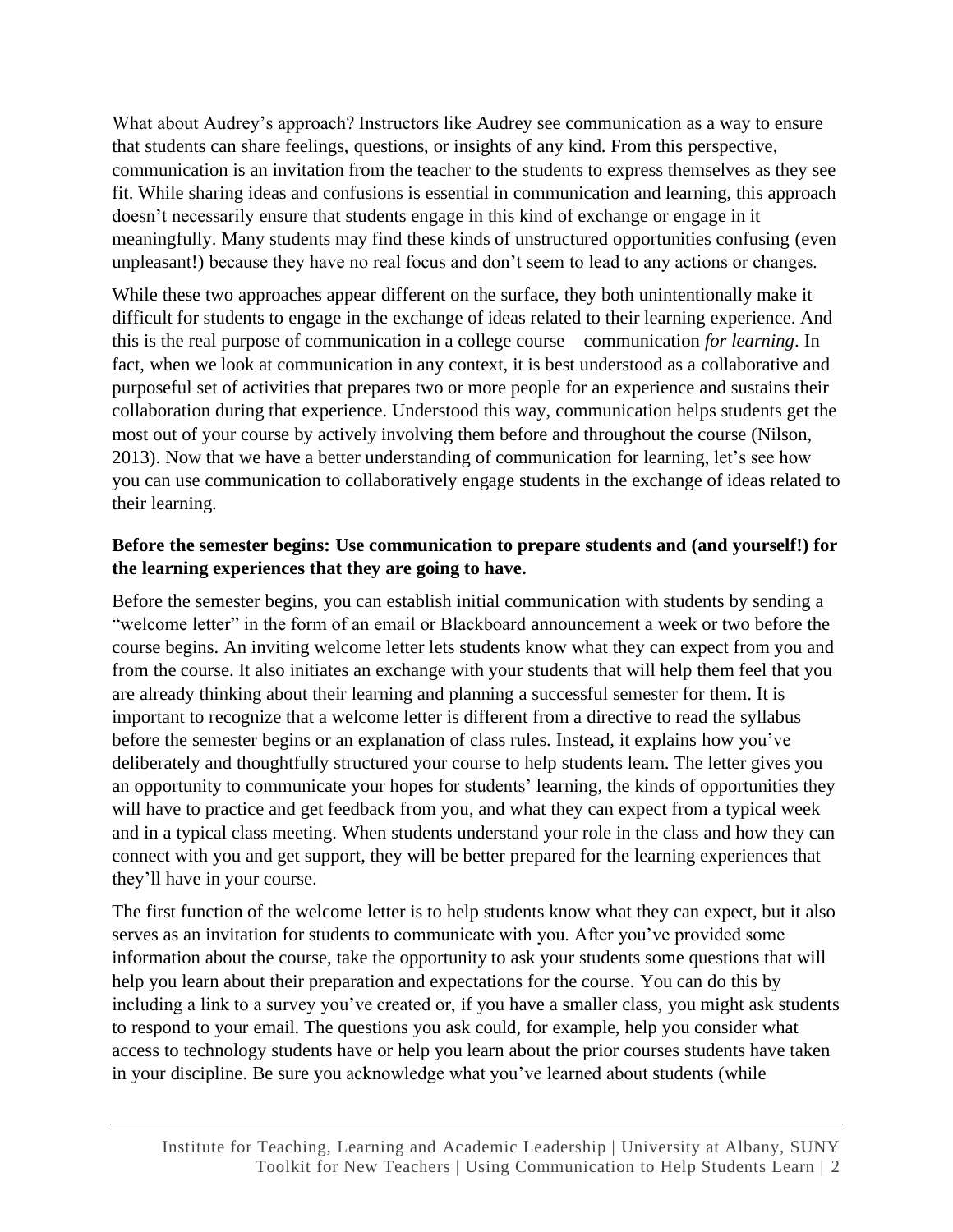What about Audrey's approach? Instructors like Audrey see communication as a way to ensure that students can share feelings, questions, or insights of any kind. From this perspective, communication is an invitation from the teacher to the students to express themselves as they see fit. While sharing ideas and confusions is essential in communication and learning, this approach doesn't necessarily ensure that students engage in this kind of exchange or engage in it meaningfully. Many students may find these kinds of unstructured opportunities confusing (even unpleasant!) because they have no real focus and don't seem to lead to any actions or changes.

While these two approaches appear different on the surface, they both unintentionally make it difficult for students to engage in the exchange of ideas related to their learning experience. And this is the real purpose of communication in a college course—communication *for learning*. In fact, when we look at communication in any context, it is best understood as a collaborative and purposeful set of activities that prepares two or more people for an experience and sustains their collaboration during that experience. Understood this way, communication helps students get the most out of your course by actively involving them before and throughout the course (Nilson, 2013). Now that we have a better understanding of communication for learning, let's see how you can use communication to collaboratively engage students in the exchange of ideas related to their learning.

### **Before the semester begins: Use communication to prepare students and (and yourself!) for the learning experiences that they are going to have.**

Before the semester begins, you can establish initial communication with students by sending a "welcome letter" in the form of an email or Blackboard announcement a week or two before the course begins. An inviting welcome letter lets students know what they can expect from you and from the course. It also initiates an exchange with your students that will help them feel that you are already thinking about their learning and planning a successful semester for them. It is important to recognize that a welcome letter is different from a directive to read the syllabus before the semester begins or an explanation of class rules. Instead, it explains how you've deliberately and thoughtfully structured your course to help students learn. The letter gives you an opportunity to communicate your hopes for students' learning, the kinds of opportunities they will have to practice and get feedback from you, and what they can expect from a typical week and in a typical class meeting. When students understand your role in the class and how they can connect with you and get support, they will be better prepared for the learning experiences that they'll have in your course.

The first function of the welcome letter is to help students know what they can expect, but it also serves as an invitation for students to communicate with you. After you've provided some information about the course, take the opportunity to ask your students some questions that will help you learn about their preparation and expectations for the course. You can do this by including a link to a survey you've created or, if you have a smaller class, you might ask students to respond to your email. The questions you ask could, for example, help you consider what access to technology students have or help you learn about the prior courses students have taken in your discipline. Be sure you acknowledge what you've learned about students (while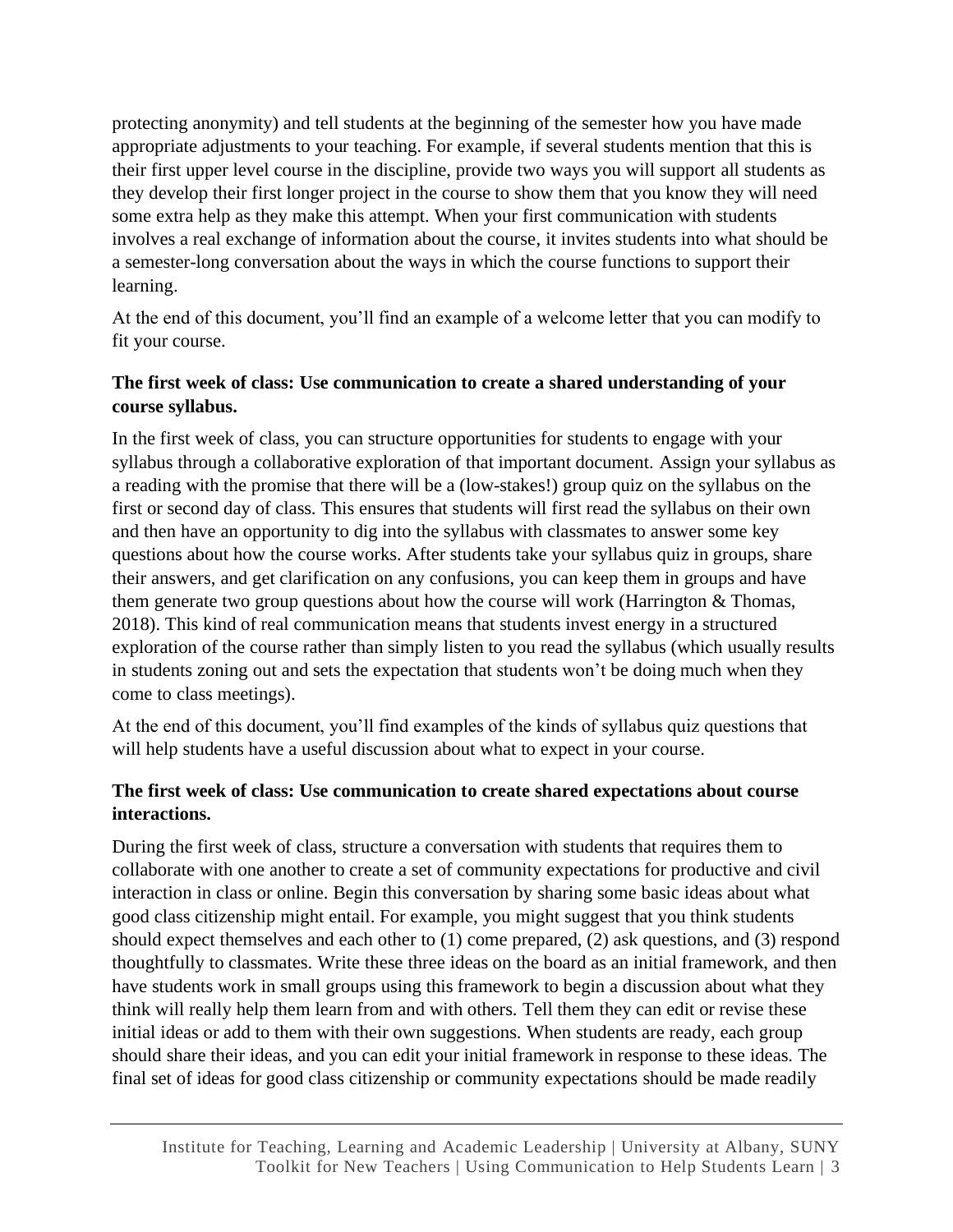protecting anonymity) and tell students at the beginning of the semester how you have made appropriate adjustments to your teaching. For example, if several students mention that this is their first upper level course in the discipline, provide two ways you will support all students as they develop their first longer project in the course to show them that you know they will need some extra help as they make this attempt. When your first communication with students involves a real exchange of information about the course, it invites students into what should be a semester-long conversation about the ways in which the course functions to support their learning.

At the end of this document, you'll find an example of a welcome letter that you can modify to fit your course.

## **The first week of class: Use communication to create a shared understanding of your course syllabus.**

In the first week of class, you can structure opportunities for students to engage with your syllabus through a collaborative exploration of that important document. Assign your syllabus as a reading with the promise that there will be a (low-stakes!) group quiz on the syllabus on the first or second day of class. This ensures that students will first read the syllabus on their own and then have an opportunity to dig into the syllabus with classmates to answer some key questions about how the course works. After students take your syllabus quiz in groups, share their answers, and get clarification on any confusions, you can keep them in groups and have them generate two group questions about how the course will work (Harrington & Thomas, 2018). This kind of real communication means that students invest energy in a structured exploration of the course rather than simply listen to you read the syllabus (which usually results in students zoning out and sets the expectation that students won't be doing much when they come to class meetings).

At the end of this document, you'll find examples of the kinds of syllabus quiz questions that will help students have a useful discussion about what to expect in your course.

## **The first week of class: Use communication to create shared expectations about course interactions.**

During the first week of class, structure a conversation with students that requires them to collaborate with one another to create a set of community expectations for productive and civil interaction in class or online. Begin this conversation by sharing some basic ideas about what good class citizenship might entail. For example, you might suggest that you think students should expect themselves and each other to (1) come prepared, (2) ask questions, and (3) respond thoughtfully to classmates. Write these three ideas on the board as an initial framework, and then have students work in small groups using this framework to begin a discussion about what they think will really help them learn from and with others. Tell them they can edit or revise these initial ideas or add to them with their own suggestions. When students are ready, each group should share their ideas, and you can edit your initial framework in response to these ideas. The final set of ideas for good class citizenship or community expectations should be made readily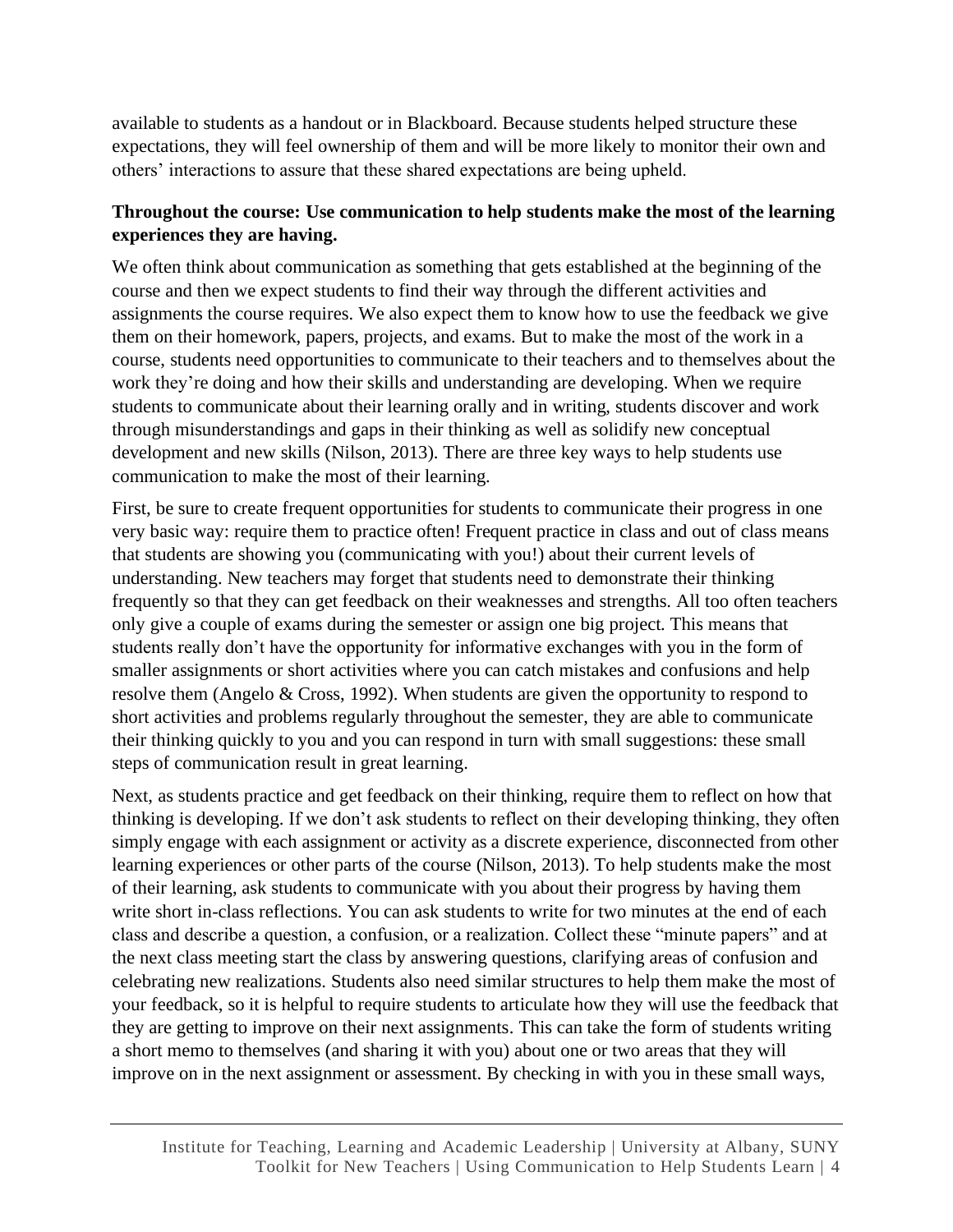available to students as a handout or in Blackboard. Because students helped structure these expectations, they will feel ownership of them and will be more likely to monitor their own and others' interactions to assure that these shared expectations are being upheld.

#### **Throughout the course: Use communication to help students make the most of the learning experiences they are having.**

We often think about communication as something that gets established at the beginning of the course and then we expect students to find their way through the different activities and assignments the course requires. We also expect them to know how to use the feedback we give them on their homework, papers, projects, and exams. But to make the most of the work in a course, students need opportunities to communicate to their teachers and to themselves about the work they're doing and how their skills and understanding are developing. When we require students to communicate about their learning orally and in writing, students discover and work through misunderstandings and gaps in their thinking as well as solidify new conceptual development and new skills (Nilson, 2013). There are three key ways to help students use communication to make the most of their learning.

First, be sure to create frequent opportunities for students to communicate their progress in one very basic way: require them to practice often! Frequent practice in class and out of class means that students are showing you (communicating with you!) about their current levels of understanding. New teachers may forget that students need to demonstrate their thinking frequently so that they can get feedback on their weaknesses and strengths. All too often teachers only give a couple of exams during the semester or assign one big project. This means that students really don't have the opportunity for informative exchanges with you in the form of smaller assignments or short activities where you can catch mistakes and confusions and help resolve them (Angelo & Cross, 1992). When students are given the opportunity to respond to short activities and problems regularly throughout the semester, they are able to communicate their thinking quickly to you and you can respond in turn with small suggestions: these small steps of communication result in great learning.

Next, as students practice and get feedback on their thinking, require them to reflect on how that thinking is developing. If we don't ask students to reflect on their developing thinking, they often simply engage with each assignment or activity as a discrete experience, disconnected from other learning experiences or other parts of the course (Nilson, 2013). To help students make the most of their learning, ask students to communicate with you about their progress by having them write short in-class reflections. You can ask students to write for two minutes at the end of each class and describe a question, a confusion, or a realization. Collect these "minute papers" and at the next class meeting start the class by answering questions, clarifying areas of confusion and celebrating new realizations. Students also need similar structures to help them make the most of your feedback, so it is helpful to require students to articulate how they will use the feedback that they are getting to improve on their next assignments. This can take the form of students writing a short memo to themselves (and sharing it with you) about one or two areas that they will improve on in the next assignment or assessment. By checking in with you in these small ways,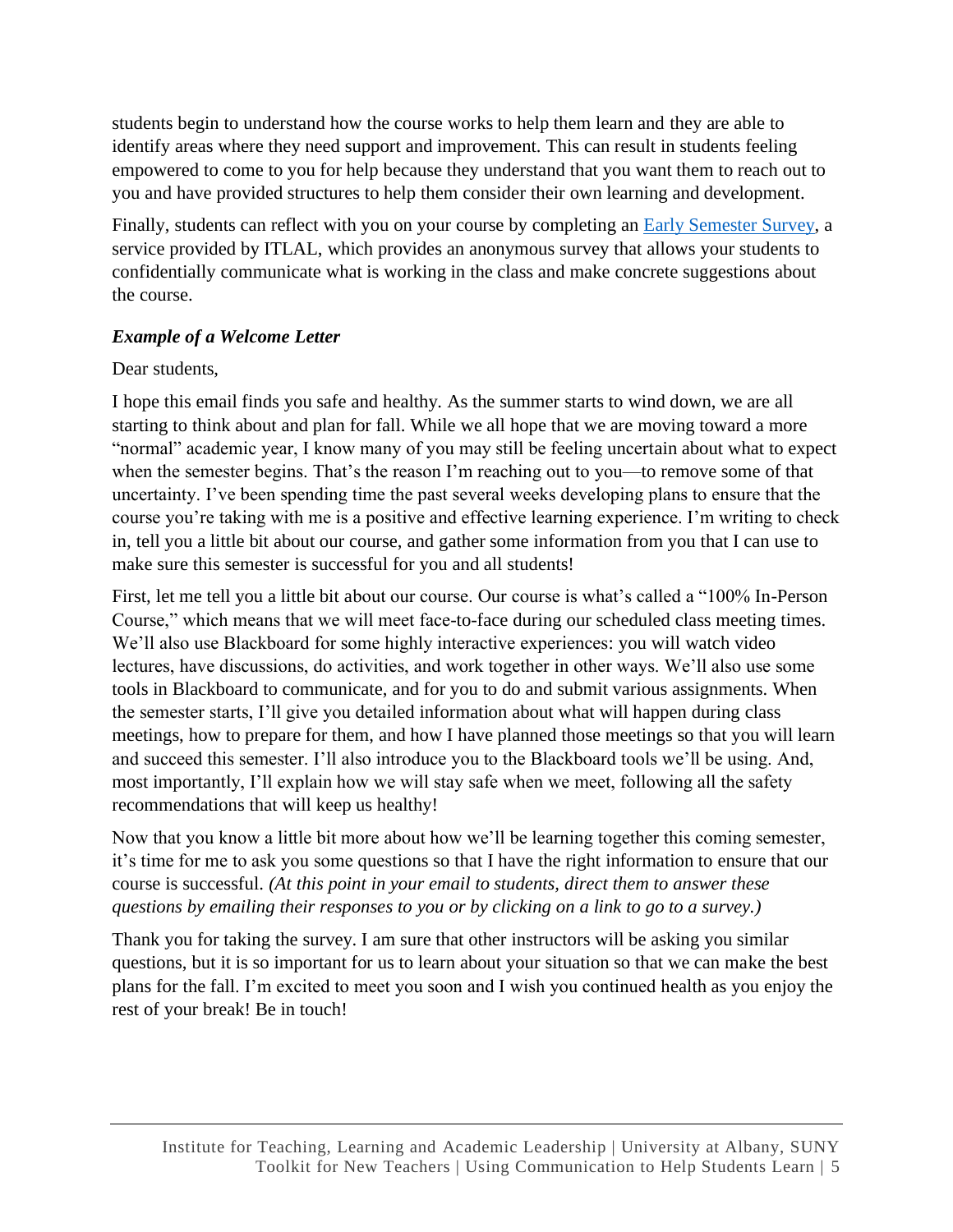students begin to understand how the course works to help them learn and they are able to identify areas where they need support and improvement. This can result in students feeling empowered to come to you for help because they understand that you want them to reach out to you and have provided structures to help them consider their own learning and development.

Finally, students can reflect with you on your course by completing an [Early Semester Survey,](https://www.itlal.org/our-services/mid-term-surveys/) a service provided by ITLAL, which provides an anonymous survey that allows your students to confidentially communicate what is working in the class and make concrete suggestions about the course.

## *Example of a Welcome Letter*

### Dear students,

I hope this email finds you safe and healthy. As the summer starts to wind down, we are all starting to think about and plan for fall. While we all hope that we are moving toward a more "normal" academic year, I know many of you may still be feeling uncertain about what to expect when the semester begins. That's the reason I'm reaching out to you—to remove some of that uncertainty. I've been spending time the past several weeks developing plans to ensure that the course you're taking with me is a positive and effective learning experience. I'm writing to check in, tell you a little bit about our course, and gather some information from you that I can use to make sure this semester is successful for you and all students!

First, let me tell you a little bit about our course. Our course is what's called a "100% In-Person Course," which means that we will meet face-to-face during our scheduled class meeting times. We'll also use Blackboard for some highly interactive experiences: you will watch video lectures, have discussions, do activities, and work together in other ways. We'll also use some tools in Blackboard to communicate, and for you to do and submit various assignments. When the semester starts, I'll give you detailed information about what will happen during class meetings, how to prepare for them, and how I have planned those meetings so that you will learn and succeed this semester. I'll also introduce you to the Blackboard tools we'll be using. And, most importantly, I'll explain how we will stay safe when we meet, following all the safety recommendations that will keep us healthy!

Now that you know a little bit more about how we'll be learning together this coming semester, it's time for me to ask you some questions so that I have the right information to ensure that our course is successful. *(At this point in your email to students, direct them to answer these questions by emailing their responses to you or by clicking on a link to go to a survey.)*

Thank you for taking the survey. I am sure that other instructors will be asking you similar questions, but it is so important for us to learn about your situation so that we can make the best plans for the fall. I'm excited to meet you soon and I wish you continued health as you enjoy the rest of your break! Be in touch!